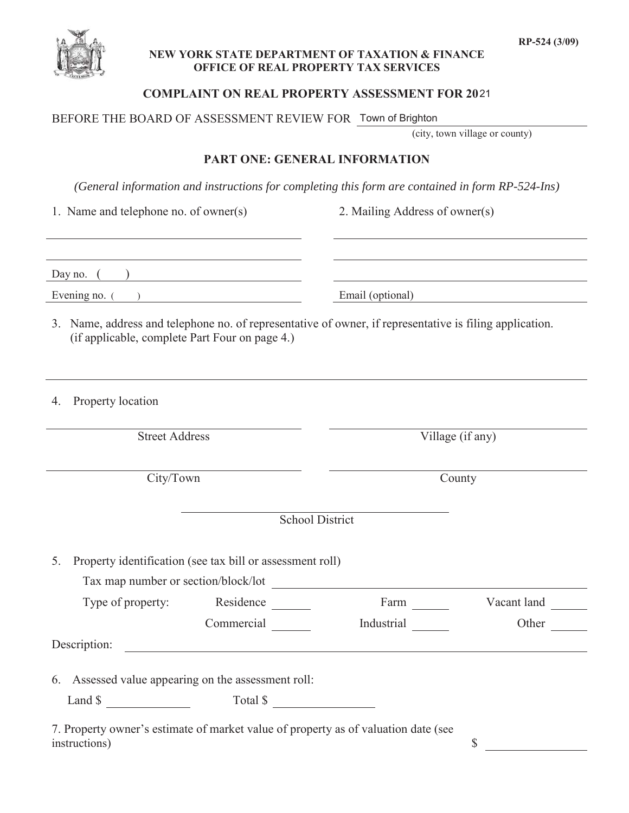

## **NEW YORK STATE DEPARTMENT OF TAXATION & FINANCE OFFICE OF REAL PROPERTY TAX SERVICES**

# **COMPLAINT ON REAL PROPERTY ASSESSMENT FOR 20** 21

BEFORE THE BOARD OF ASSESSMENT REVIEW FOR Town of Brighton

(city, town village or county)

## **PART ONE: GENERAL INFORMATION**

*(General information and instructions for completing this form are contained in form RP-524-Ins)*

1. Name and telephone no. of owner(s) 2. Mailing Address of owner(s)

| Day no.     |                  |
|-------------|------------------|
| Evening no. | Email (optional) |

- 3. Name, address and telephone no. of representative of owner, if representative is filing application. (if applicable, complete Part Four on page 4.)
- 4. Property location

Street Address Village (if any)

City/Town County

School District

5. Property identification (see tax bill or assessment roll)

Tax map number or section/block/lot

| Type of property: | Residence  | Farm       | Vacant land |
|-------------------|------------|------------|-------------|
|                   | Commercial | Industrial | Other       |

Description:

6. Assessed value appearing on the assessment roll:

Land \$ Total \$

7. Property owner's estimate of market value of property as of valuation date (see instructions) \$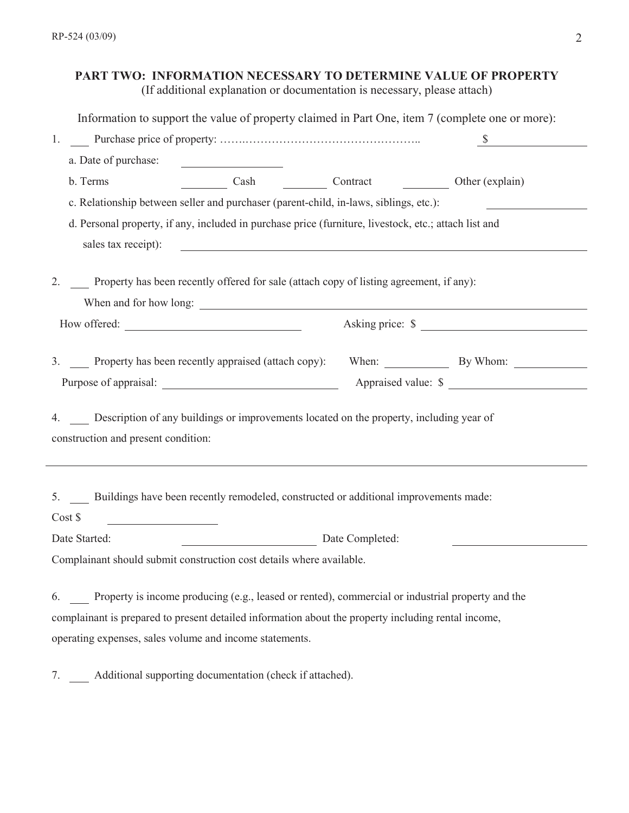# **PART TWO: INFORMATION NECESSARY TO DETERMINE VALUE OF PROPERTY**

(If additional explanation or documentation is necessary, please attach)

Information to support the value of property claimed in Part One, item 7 (complete one or more):

| 1.                                                            |                                                                                                                                                                                                         |                                                                                   |
|---------------------------------------------------------------|---------------------------------------------------------------------------------------------------------------------------------------------------------------------------------------------------------|-----------------------------------------------------------------------------------|
| a. Date of purchase:                                          |                                                                                                                                                                                                         |                                                                                   |
| b. Terms                                                      | Cash Contract Other (explain)                                                                                                                                                                           |                                                                                   |
|                                                               | c. Relationship between seller and purchaser (parent-child, in-laws, siblings, etc.):                                                                                                                   |                                                                                   |
|                                                               | d. Personal property, if any, included in purchase price (furniture, livestock, etc.; attach list and                                                                                                   |                                                                                   |
| sales tax receipt):                                           | <u> 1989 - Johann Barbara, martin amerikan basar dan berasal dalam basa dan basar dalam basa dalam basa dalam basa</u>                                                                                  |                                                                                   |
| 2.                                                            | Property has been recently offered for sale (attach copy of listing agreement, if any):                                                                                                                 |                                                                                   |
|                                                               |                                                                                                                                                                                                         | Asking price: \$                                                                  |
|                                                               |                                                                                                                                                                                                         | 3. Property has been recently appraised (attach copy): When: By Whom: Number 2014 |
|                                                               |                                                                                                                                                                                                         |                                                                                   |
| construction and present condition:                           | 4. Description of any buildings or improvements located on the property, including year of                                                                                                              |                                                                                   |
| Cost \$<br><u> 1980 - Johann Barbara, martin a</u>            | 5. Buildings have been recently remodeled, constructed or additional improvements made:                                                                                                                 |                                                                                   |
| Date Started:                                                 | Date Completed:                                                                                                                                                                                         |                                                                                   |
|                                                               | Complainant should submit construction cost details where available.                                                                                                                                    |                                                                                   |
| 6.<br>operating expenses, sales volume and income statements. | Property is income producing (e.g., leased or rented), commercial or industrial property and the<br>complainant is prepared to present detailed information about the property including rental income, |                                                                                   |
| 7.                                                            | Additional supporting documentation (check if attached).                                                                                                                                                |                                                                                   |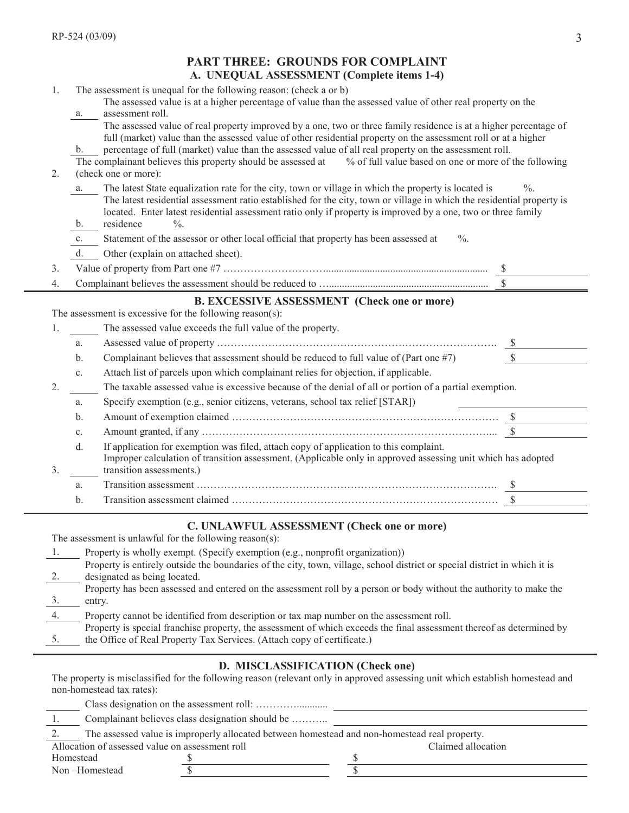|    |                | <b>PART THREE: GROUNDS FOR COMPLAINT</b>                                                                                                                                                                                                |                 |
|----|----------------|-----------------------------------------------------------------------------------------------------------------------------------------------------------------------------------------------------------------------------------------|-----------------|
|    |                | A. UNEQUAL ASSESSMENT (Complete items 1-4)                                                                                                                                                                                              |                 |
| 1. |                | The assessment is unequal for the following reason: (check a or b)                                                                                                                                                                      |                 |
|    |                | The assessed value is at a higher percentage of value than the assessed value of other real property on the                                                                                                                             |                 |
|    | a.             | assessment roll.<br>The assessed value of real property improved by a one, two or three family residence is at a higher percentage of                                                                                                   |                 |
|    |                | full (market) value than the assessed value of other residential property on the assessment roll or at a higher                                                                                                                         |                 |
|    | b.             | percentage of full (market) value than the assessed value of all real property on the assessment roll.                                                                                                                                  |                 |
|    |                | The complainant believes this property should be assessed at % of full value based on one or more of the following                                                                                                                      |                 |
| 2. |                | (check one or more):                                                                                                                                                                                                                    |                 |
|    | a.             | The latest State equalization rate for the city, town or village in which the property is located is                                                                                                                                    | $\frac{0}{0}$ . |
|    |                | The latest residential assessment ratio established for the city, town or village in which the residential property is<br>located. Enter latest residential assessment ratio only if property is improved by a one, two or three family |                 |
|    | $\mathbf{b}$ . | residence<br>$\frac{0}{0}$ .                                                                                                                                                                                                            |                 |
|    | c.             | Statement of the assessor or other local official that property has been assessed at<br>$\%$ .                                                                                                                                          |                 |
|    | d.             | Other (explain on attached sheet).                                                                                                                                                                                                      |                 |
| 3. |                |                                                                                                                                                                                                                                         |                 |
| 4. |                |                                                                                                                                                                                                                                         |                 |
|    |                | <b>B. EXCESSIVE ASSESSMENT (Check one or more)</b>                                                                                                                                                                                      |                 |
|    |                | The assessment is excessive for the following reason(s):                                                                                                                                                                                |                 |
| 1. |                | The assessed value exceeds the full value of the property.                                                                                                                                                                              |                 |
|    | a.             |                                                                                                                                                                                                                                         |                 |
|    | b.             | Complainant believes that assessment should be reduced to full value of (Part one #7)                                                                                                                                                   |                 |
|    | $\mathbf{c}$ . | Attach list of parcels upon which complainant relies for objection, if applicable.                                                                                                                                                      |                 |
| 2. |                | The taxable assessed value is excessive because of the denial of all or portion of a partial exemption.                                                                                                                                 |                 |
|    | a.             | Specify exemption (e.g., senior citizens, veterans, school tax relief [STAR])                                                                                                                                                           |                 |
|    | b.             |                                                                                                                                                                                                                                         |                 |
|    | $\mathbf{c}$ . |                                                                                                                                                                                                                                         |                 |
|    | d.             | If application for exemption was filed, attach copy of application to this complaint.                                                                                                                                                   |                 |
|    |                | Improper calculation of transition assessment. (Applicable only in approved assessing unit which has adopted                                                                                                                            |                 |
| 3. |                | transition assessments.)                                                                                                                                                                                                                |                 |
|    | a.             |                                                                                                                                                                                                                                         |                 |
|    | b.             |                                                                                                                                                                                                                                         |                 |

# **C. UNLAWFUL ASSESSMENT (Check one or more)**

The assessment is unlawful for the following reason(s):

| Property is wholly exempt. (Specify exemption (e.g., nonprofit organization))                                              |
|----------------------------------------------------------------------------------------------------------------------------|
| Property is entirely outside the boundaries of the city, town, village, school district or special district in which it is |
| designated as being located.                                                                                               |
| Property has been assessed and entered on the assessment roll by a person or body without the authority to make the        |
| entry.                                                                                                                     |
| Property cannot be identified from description or tax map number on the assessment roll.                                   |
| Property is special franchise property, the assessment of which exceeds the final assessment thereof as determined by      |
| the Office of Real Property Tax Services. (Attach copy of certificate.)                                                    |

#### **D. MISCLASSIFICATION (Check one)**

The property is misclassified for the following reason (relevant only in approved assessing unit which establish homestead and non-homestead tax rates):

| -1.                                             | Complainant believes class designation should be |                                                                                               |                    |  |
|-------------------------------------------------|--------------------------------------------------|-----------------------------------------------------------------------------------------------|--------------------|--|
|                                                 |                                                  | The assessed value is improperly allocated between homestead and non-homestead real property. |                    |  |
| Allocation of assessed value on assessment roll |                                                  |                                                                                               | Claimed allocation |  |
| Homestead                                       |                                                  |                                                                                               |                    |  |
| Non-Homestead                                   |                                                  |                                                                                               |                    |  |